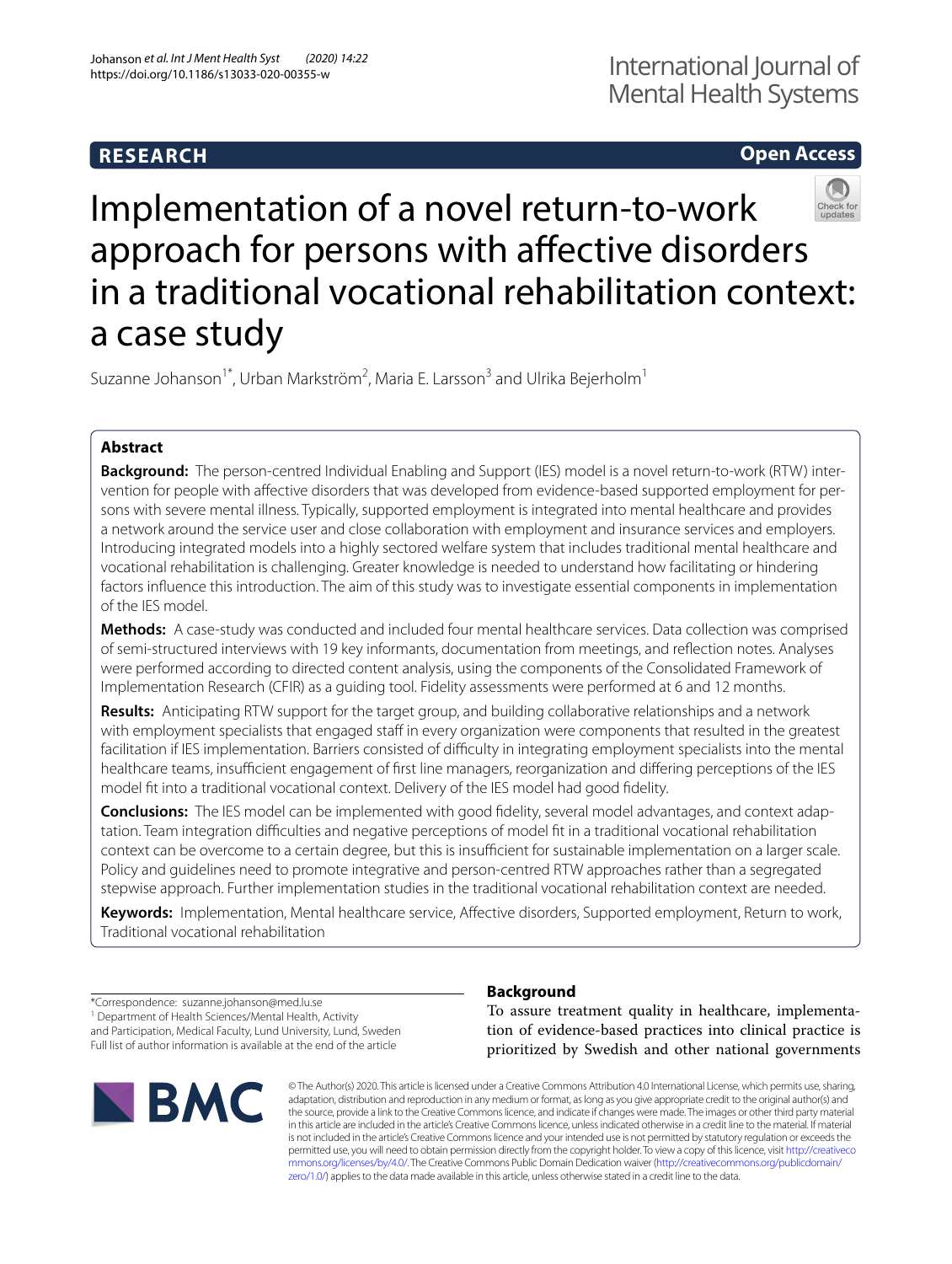# **RESEARCH**

# **Open Access**



# Implementation of a novel return-to-work approach for persons with affective disorders in a traditional vocational rehabilitation context: a case study

Suzanne Johanson<sup>1\*</sup>, Urban Markström<sup>2</sup>, Maria E. Larsson<sup>3</sup> and Ulrika Bejerholm<sup>1</sup>

# **Abstract**

**Background:** The person-centred Individual Enabling and Support (IES) model is a novel return-to-work (RTW) intervention for people with afective disorders that was developed from evidence-based supported employment for persons with severe mental illness. Typically, supported employment is integrated into mental healthcare and provides a network around the service user and close collaboration with employment and insurance services and employers. Introducing integrated models into a highly sectored welfare system that includes traditional mental healthcare and vocational rehabilitation is challenging. Greater knowledge is needed to understand how facilitating or hindering factors infuence this introduction. The aim of this study was to investigate essential components in implementation of the IES model.

**Methods:** A case-study was conducted and included four mental healthcare services. Data collection was comprised of semi-structured interviews with 19 key informants, documentation from meetings, and refection notes. Analyses were performed according to directed content analysis, using the components of the Consolidated Framework of Implementation Research (CFIR) as a guiding tool. Fidelity assessments were performed at 6 and 12 months.

**Results:** Anticipating RTW support for the target group, and building collaborative relationships and a network with employment specialists that engaged staff in every organization were components that resulted in the greatest facilitation if IES implementation. Barriers consisted of difficulty in integrating employment specialists into the mental healthcare teams, insufficient engagement of first line managers, reorganization and differing perceptions of the IES model ft into a traditional vocational context. Delivery of the IES model had good fdelity.

**Conclusions:** The IES model can be implemented with good fdelity, several model advantages, and context adaptation. Team integration difficulties and negative perceptions of model fit in a traditional vocational rehabilitation context can be overcome to a certain degree, but this is insufficient for sustainable implementation on a larger scale. Policy and guidelines need to promote integrative and person-centred RTW approaches rather than a segregated stepwise approach. Further implementation studies in the traditional vocational rehabilitation context are needed.

**Keywords:** Implementation, Mental healthcare service, Afective disorders, Supported employment, Return to work, Traditional vocational rehabilitation

\*Correspondence: suzanne.johanson@med.lu.se <sup>1</sup> Department of Health Sciences/Mental Health, Activity and Participation, Medical Faculty, Lund University, Lund, Sweden Full list of author information is available at the end of the article



# **Background**

To assure treatment quality in healthcare, implementation of evidence-based practices into clinical practice is prioritized by Swedish and other national governments

© The Author(s) 2020. This article is licensed under a Creative Commons Attribution 4.0 International License, which permits use, sharing, adaptation, distribution and reproduction in any medium or format, as long as you give appropriate credit to the original author(s) and the source, provide a link to the Creative Commons licence, and indicate if changes were made. The images or other third party material in this article are included in the article's Creative Commons licence, unless indicated otherwise in a credit line to the material. If material is not included in the article's Creative Commons licence and your intended use is not permitted by statutory regulation or exceeds the permitted use, you will need to obtain permission directly from the copyright holder. To view a copy of this licence, visit [http://creativeco](http://creativecommons.org/licenses/by/4.0/) [mmons.org/licenses/by/4.0/.](http://creativecommons.org/licenses/by/4.0/) The Creative Commons Public Domain Dedication waiver ([http://creativecommons.org/publicdomain/](http://creativecommons.org/publicdomain/zero/1.0/) [zero/1.0/\)](http://creativecommons.org/publicdomain/zero/1.0/) applies to the data made available in this article, unless otherwise stated in a credit line to the data.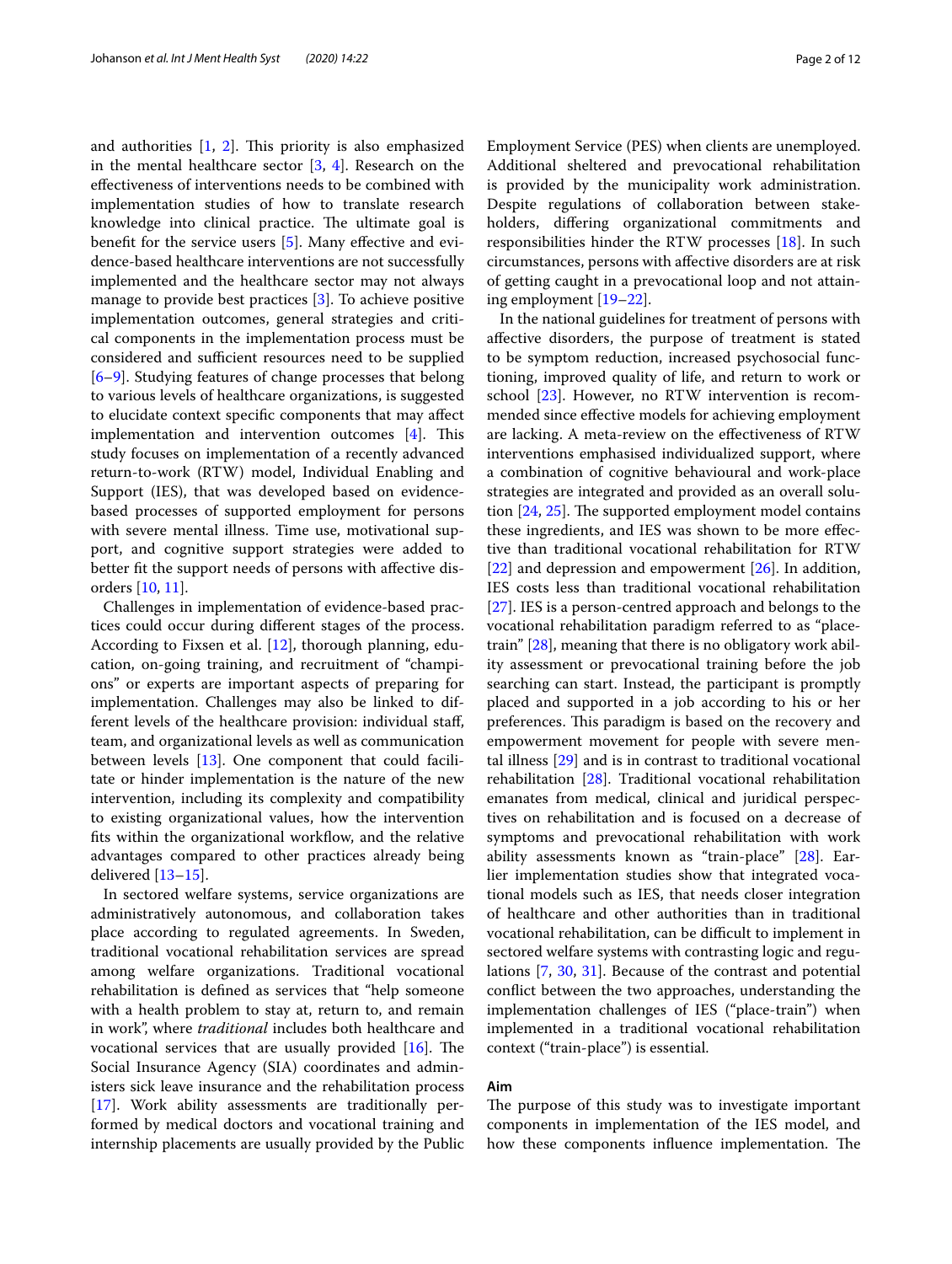and authorities  $[1, 2]$  $[1, 2]$  $[1, 2]$  $[1, 2]$  $[1, 2]$ . This priority is also emphasized in the mental healthcare sector  $[3, 4]$  $[3, 4]$  $[3, 4]$  $[3, 4]$ . Research on the efectiveness of interventions needs to be combined with implementation studies of how to translate research knowledge into clinical practice. The ultimate goal is benefit for the service users [[5\]](#page-10-4). Many effective and evidence-based healthcare interventions are not successfully implemented and the healthcare sector may not always manage to provide best practices [[3\]](#page-10-2). To achieve positive implementation outcomes, general strategies and critical components in the implementation process must be considered and sufficient resources need to be supplied [[6–](#page-10-5)[9\]](#page-10-6). Studying features of change processes that belong to various levels of healthcare organizations, is suggested to elucidate context specifc components that may afect implementation and intervention outcomes  $[4]$  $[4]$ . This study focuses on implementation of a recently advanced return-to-work (RTW) model, Individual Enabling and Support (IES), that was developed based on evidencebased processes of supported employment for persons with severe mental illness. Time use, motivational support, and cognitive support strategies were added to better ft the support needs of persons with afective disorders [\[10](#page-10-7), [11\]](#page-10-8).

Challenges in implementation of evidence-based practices could occur during diferent stages of the process. According to Fixsen et al. [\[12](#page-10-9)], thorough planning, education, on-going training, and recruitment of "champions" or experts are important aspects of preparing for implementation. Challenges may also be linked to different levels of the healthcare provision: individual staf, team, and organizational levels as well as communication between levels [[13\]](#page-10-10). One component that could facilitate or hinder implementation is the nature of the new intervention, including its complexity and compatibility to existing organizational values, how the intervention fits within the organizational workflow, and the relative advantages compared to other practices already being delivered [[13](#page-10-10)[–15](#page-10-11)].

In sectored welfare systems, service organizations are administratively autonomous, and collaboration takes place according to regulated agreements. In Sweden, traditional vocational rehabilitation services are spread among welfare organizations. Traditional vocational rehabilitation is defned as services that "help someone with a health problem to stay at, return to, and remain in work", where *traditional* includes both healthcare and vocational services that are usually provided  $[16]$  $[16]$ . The Social Insurance Agency (SIA) coordinates and administers sick leave insurance and the rehabilitation process [[17\]](#page-10-13). Work ability assessments are traditionally performed by medical doctors and vocational training and internship placements are usually provided by the Public Employment Service (PES) when clients are unemployed. Additional sheltered and prevocational rehabilitation is provided by the municipality work administration. Despite regulations of collaboration between stakeholders, difering organizational commitments and responsibilities hinder the RTW processes [[18\]](#page-10-14). In such circumstances, persons with afective disorders are at risk of getting caught in a prevocational loop and not attaining employment [[19–](#page-10-15)[22](#page-10-16)].

In the national guidelines for treatment of persons with afective disorders, the purpose of treatment is stated to be symptom reduction, increased psychosocial functioning, improved quality of life, and return to work or school [[23\]](#page-10-17). However, no RTW intervention is recommended since efective models for achieving employment are lacking. A meta-review on the efectiveness of RTW interventions emphasised individualized support, where a combination of cognitive behavioural and work-place strategies are integrated and provided as an overall solution  $[24, 25]$  $[24, 25]$  $[24, 25]$  $[24, 25]$  $[24, 25]$ . The supported employment model contains these ingredients, and IES was shown to be more efective than traditional vocational rehabilitation for RTW [[22\]](#page-10-16) and depression and empowerment [[26](#page-10-20)]. In addition, IES costs less than traditional vocational rehabilitation [[27\]](#page-10-21). IES is a person-centred approach and belongs to the vocational rehabilitation paradigm referred to as "placetrain" [\[28](#page-10-22)], meaning that there is no obligatory work ability assessment or prevocational training before the job searching can start. Instead, the participant is promptly placed and supported in a job according to his or her preferences. This paradigm is based on the recovery and empowerment movement for people with severe mental illness [\[29](#page-10-23)] and is in contrast to traditional vocational rehabilitation [\[28](#page-10-22)]. Traditional vocational rehabilitation emanates from medical, clinical and juridical perspectives on rehabilitation and is focused on a decrease of symptoms and prevocational rehabilitation with work ability assessments known as "train-place" [\[28](#page-10-22)]. Earlier implementation studies show that integrated vocational models such as IES, that needs closer integration of healthcare and other authorities than in traditional vocational rehabilitation, can be difficult to implement in sectored welfare systems with contrasting logic and regulations [\[7](#page-10-24), [30,](#page-11-0) [31](#page-11-1)]. Because of the contrast and potential confict between the two approaches, understanding the implementation challenges of IES ("place-train") when implemented in a traditional vocational rehabilitation context ("train-place") is essential.

# **Aim**

The purpose of this study was to investigate important components in implementation of the IES model, and how these components influence implementation. The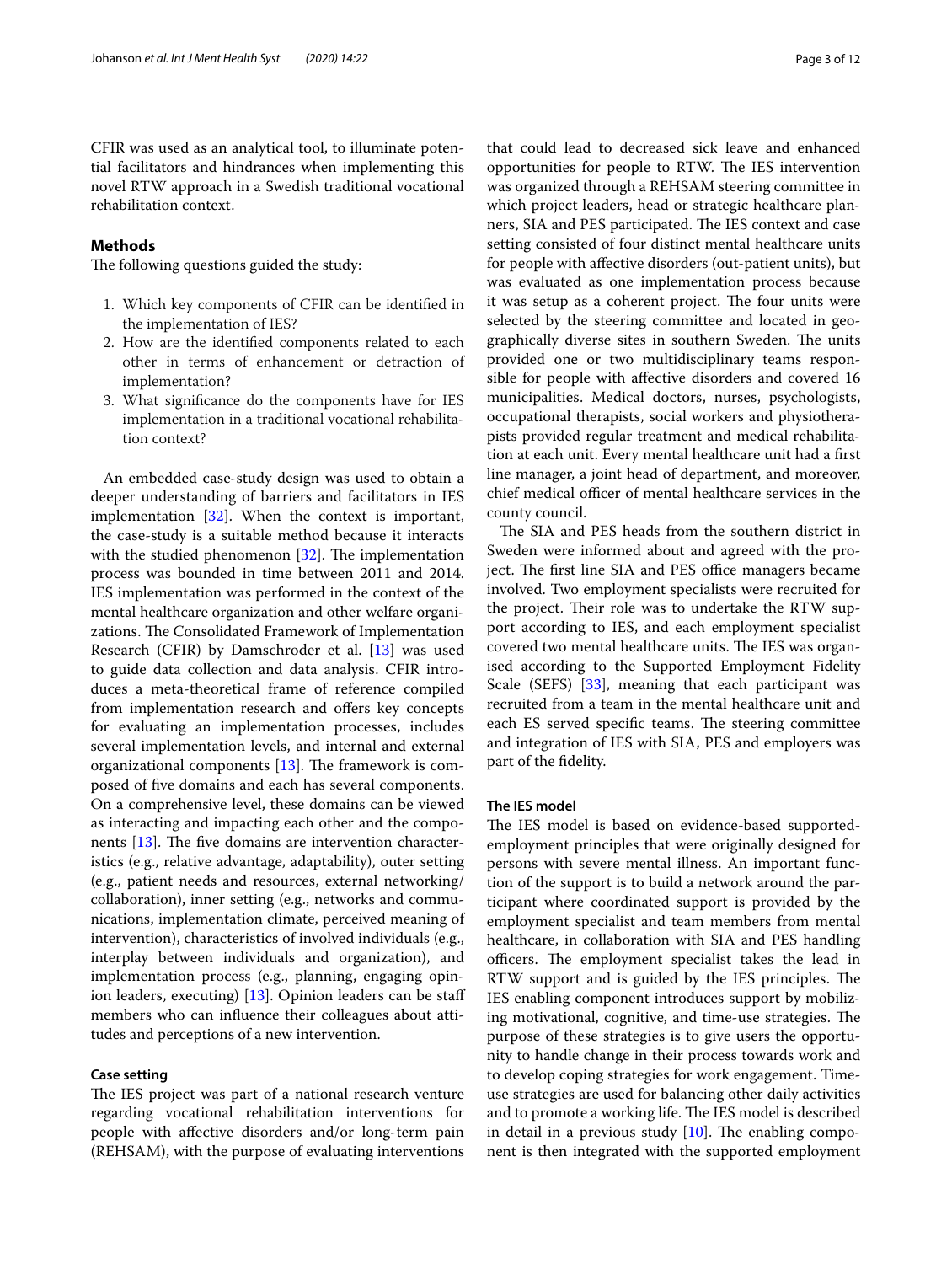CFIR was used as an analytical tool, to illuminate potential facilitators and hindrances when implementing this novel RTW approach in a Swedish traditional vocational rehabilitation context.

# **Methods**

The following questions guided the study:

- 1. Which key components of CFIR can be identifed in the implementation of IES?
- 2. How are the identifed components related to each other in terms of enhancement or detraction of implementation?
- 3. What signifcance do the components have for IES implementation in a traditional vocational rehabilitation context?

An embedded case-study design was used to obtain a deeper understanding of barriers and facilitators in IES implementation [\[32](#page-11-2)]. When the context is important, the case-study is a suitable method because it interacts with the studied phenomenon  $[32]$  $[32]$ . The implementation process was bounded in time between 2011 and 2014. IES implementation was performed in the context of the mental healthcare organization and other welfare organizations. The Consolidated Framework of Implementation Research (CFIR) by Damschroder et al. [\[13\]](#page-10-10) was used to guide data collection and data analysis. CFIR introduces a meta-theoretical frame of reference compiled from implementation research and offers key concepts for evaluating an implementation processes, includes several implementation levels, and internal and external organizational components  $[13]$  $[13]$ . The framework is composed of fve domains and each has several components. On a comprehensive level, these domains can be viewed as interacting and impacting each other and the components  $[13]$  $[13]$ . The five domains are intervention characteristics (e.g., relative advantage, adaptability), outer setting (e.g., patient needs and resources, external networking/ collaboration), inner setting (e.g., networks and communications, implementation climate, perceived meaning of intervention), characteristics of involved individuals (e.g., interplay between individuals and organization), and implementation process (e.g., planning, engaging opin-ion leaders, executing) [[13\]](#page-10-10). Opinion leaders can be staff members who can infuence their colleagues about attitudes and perceptions of a new intervention.

# **Case setting**

The IES project was part of a national research venture regarding vocational rehabilitation interventions for people with afective disorders and/or long-term pain (REHSAM), with the purpose of evaluating interventions

that could lead to decreased sick leave and enhanced opportunities for people to RTW. The IES intervention was organized through a REHSAM steering committee in which project leaders, head or strategic healthcare planners, SIA and PES participated. The IES context and case setting consisted of four distinct mental healthcare units for people with afective disorders (out-patient units), but was evaluated as one implementation process because it was setup as a coherent project. The four units were selected by the steering committee and located in geographically diverse sites in southern Sweden. The units provided one or two multidisciplinary teams responsible for people with afective disorders and covered 16 municipalities. Medical doctors, nurses, psychologists, occupational therapists, social workers and physiotherapists provided regular treatment and medical rehabilitation at each unit. Every mental healthcare unit had a frst line manager, a joint head of department, and moreover, chief medical officer of mental healthcare services in the county council.

The SIA and PES heads from the southern district in Sweden were informed about and agreed with the project. The first line SIA and PES office managers became involved. Two employment specialists were recruited for the project. Their role was to undertake the RTW support according to IES, and each employment specialist covered two mental healthcare units. The IES was organised according to the Supported Employment Fidelity Scale (SEFS) [[33](#page-11-3)], meaning that each participant was recruited from a team in the mental healthcare unit and each ES served specific teams. The steering committee and integration of IES with SIA, PES and employers was part of the fdelity.

# **The IES model**

The IES model is based on evidence-based supportedemployment principles that were originally designed for persons with severe mental illness. An important function of the support is to build a network around the participant where coordinated support is provided by the employment specialist and team members from mental healthcare, in collaboration with SIA and PES handling officers. The employment specialist takes the lead in RTW support and is guided by the IES principles. The IES enabling component introduces support by mobilizing motivational, cognitive, and time-use strategies. The purpose of these strategies is to give users the opportunity to handle change in their process towards work and to develop coping strategies for work engagement. Timeuse strategies are used for balancing other daily activities and to promote a working life. The IES model is described in detail in a previous study  $[10]$  $[10]$ . The enabling component is then integrated with the supported employment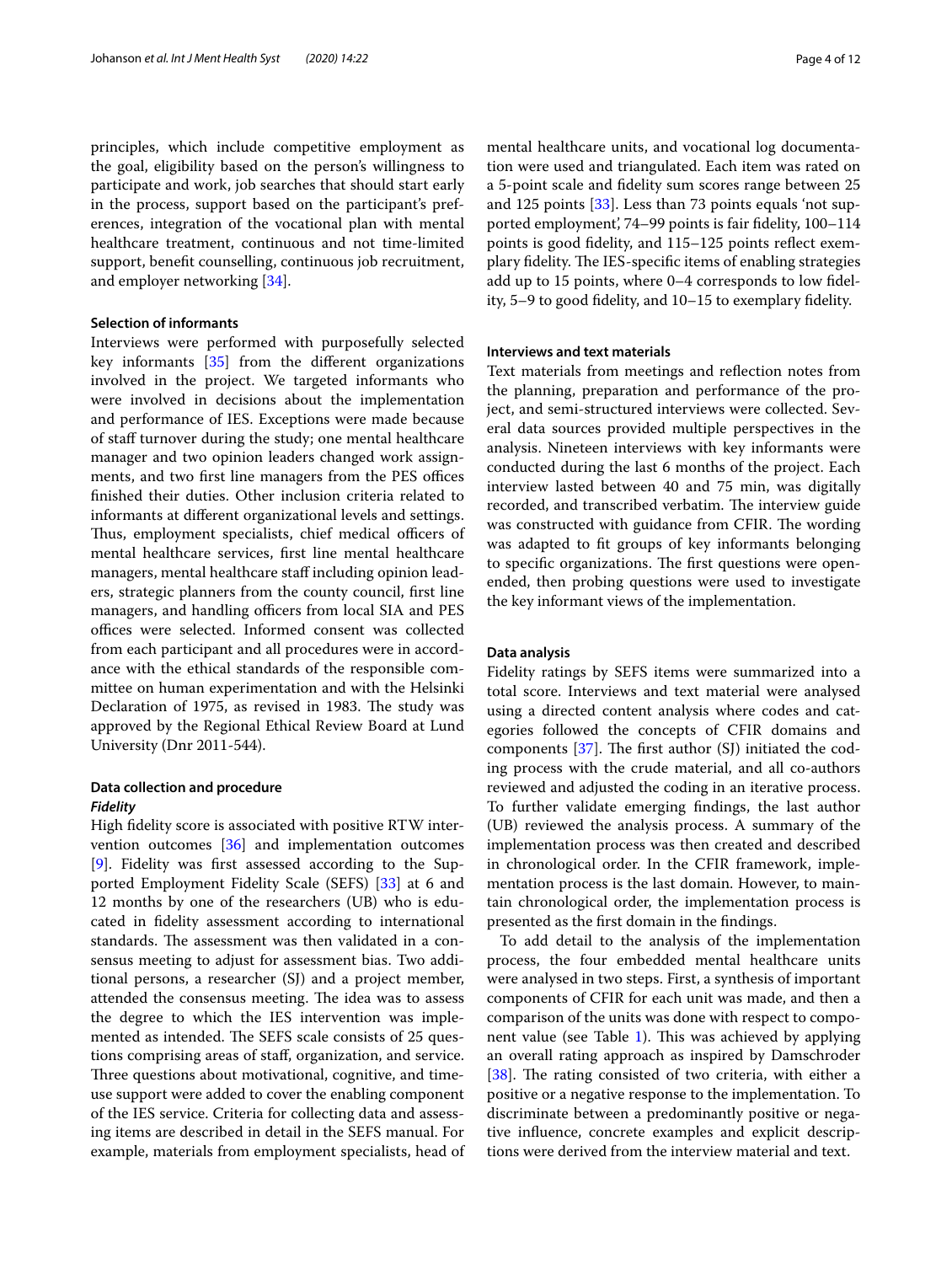principles, which include competitive employment as the goal, eligibility based on the person's willingness to participate and work, job searches that should start early in the process, support based on the participant's preferences, integration of the vocational plan with mental healthcare treatment, continuous and not time-limited support, beneft counselling, continuous job recruitment, and employer networking [\[34\]](#page-11-4).

# **Selection of informants**

Interviews were performed with purposefully selected key informants [[35\]](#page-11-5) from the diferent organizations involved in the project. We targeted informants who were involved in decisions about the implementation and performance of IES. Exceptions were made because of staff turnover during the study; one mental healthcare manager and two opinion leaders changed work assignments, and two first line managers from the PES offices fnished their duties. Other inclusion criteria related to informants at diferent organizational levels and settings. Thus, employment specialists, chief medical officers of mental healthcare services, frst line mental healthcare managers, mental healthcare staff including opinion leaders, strategic planners from the county council, frst line managers, and handling officers from local SIA and PES offices were selected. Informed consent was collected from each participant and all procedures were in accordance with the ethical standards of the responsible committee on human experimentation and with the Helsinki Declaration of 1975, as revised in 1983. The study was approved by the Regional Ethical Review Board at Lund University (Dnr 2011-544).

# **Data collection and procedure** *Fidelity*

High fdelity score is associated with positive RTW intervention outcomes [\[36](#page-11-6)] and implementation outcomes [[9\]](#page-10-6). Fidelity was frst assessed according to the Supported Employment Fidelity Scale (SEFS) [\[33\]](#page-11-3) at 6 and 12 months by one of the researchers (UB) who is educated in fdelity assessment according to international standards. The assessment was then validated in a consensus meeting to adjust for assessment bias. Two additional persons, a researcher (SJ) and a project member, attended the consensus meeting. The idea was to assess the degree to which the IES intervention was implemented as intended. The SEFS scale consists of 25 questions comprising areas of staf, organization, and service. Three questions about motivational, cognitive, and timeuse support were added to cover the enabling component of the IES service. Criteria for collecting data and assessing items are described in detail in the SEFS manual. For example, materials from employment specialists, head of mental healthcare units, and vocational log documentation were used and triangulated. Each item was rated on a 5-point scale and fdelity sum scores range between 25 and 125 points [\[33\]](#page-11-3). Less than 73 points equals 'not supported employment', 74–99 points is fair fdelity, 100–114 points is good fdelity, and 115–125 points refect exemplary fidelity. The IES-specific items of enabling strategies add up to 15 points, where 0–4 corresponds to low fdelity, 5–9 to good fdelity, and 10–15 to exemplary fdelity.

# **Interviews and text materials**

Text materials from meetings and refection notes from the planning, preparation and performance of the project, and semi-structured interviews were collected. Several data sources provided multiple perspectives in the analysis. Nineteen interviews with key informants were conducted during the last 6 months of the project. Each interview lasted between 40 and 75 min, was digitally recorded, and transcribed verbatim. The interview guide was constructed with guidance from CFIR. The wording was adapted to ft groups of key informants belonging to specific organizations. The first questions were openended, then probing questions were used to investigate the key informant views of the implementation.

# **Data analysis**

Fidelity ratings by SEFS items were summarized into a total score. Interviews and text material were analysed using a directed content analysis where codes and categories followed the concepts of CFIR domains and components  $[37]$  $[37]$ . The first author  $(SJ)$  initiated the coding process with the crude material, and all co-authors reviewed and adjusted the coding in an iterative process. To further validate emerging fndings, the last author (UB) reviewed the analysis process. A summary of the implementation process was then created and described in chronological order. In the CFIR framework, implementation process is the last domain. However, to maintain chronological order, the implementation process is presented as the frst domain in the fndings.

To add detail to the analysis of the implementation process, the four embedded mental healthcare units were analysed in two steps. First, a synthesis of important components of CFIR for each unit was made, and then a comparison of the units was done with respect to compo-nent value (see Table [1](#page-4-0)). This was achieved by applying an overall rating approach as inspired by Damschroder [ $38$ ]. The rating consisted of two criteria, with either a positive or a negative response to the implementation. To discriminate between a predominantly positive or negative infuence, concrete examples and explicit descriptions were derived from the interview material and text.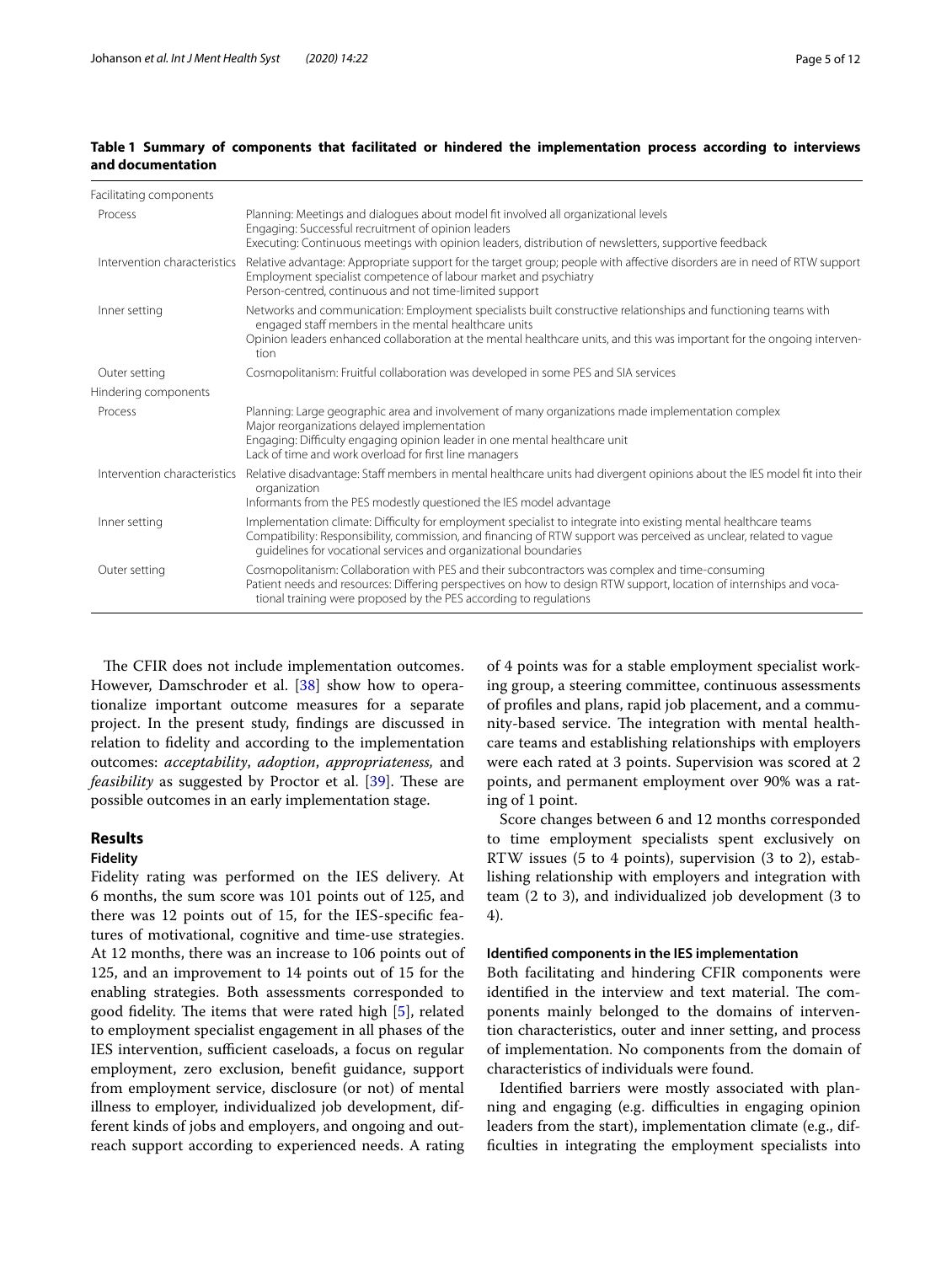# <span id="page-4-0"></span>**Table 1 Summary of components that facilitated or hindered the implementation process according to interviews and documentation**

| Facilitating components      |                                                                                                                                                                                                                                                                                                           |
|------------------------------|-----------------------------------------------------------------------------------------------------------------------------------------------------------------------------------------------------------------------------------------------------------------------------------------------------------|
| Process                      | Planning: Meetings and dialogues about model fit involved all organizational levels<br>Engaging: Successful recruitment of opinion leaders<br>Executing: Continuous meetings with opinion leaders, distribution of newsletters, supportive feedback                                                       |
| Intervention characteristics | Relative advantage: Appropriate support for the target group; people with affective disorders are in need of RTW support<br>Employment specialist competence of labour market and psychiatry<br>Person-centred, continuous and not time-limited support                                                   |
| Inner setting                | Networks and communication: Employment specialists built constructive relationships and functioning teams with<br>engaged staff members in the mental healthcare units<br>Opinion leaders enhanced collaboration at the mental healthcare units, and this was important for the ongoing interven-<br>tion |
| Outer setting                | Cosmopolitanism: Fruitful collaboration was developed in some PES and SIA services                                                                                                                                                                                                                        |
| Hindering components         |                                                                                                                                                                                                                                                                                                           |
| Process                      | Planning: Large geographic area and involvement of many organizations made implementation complex<br>Major reorganizations delayed implementation<br>Engaging: Difficulty engaging opinion leader in one mental healthcare unit<br>Lack of time and work overload for first line managers                 |
| Intervention characteristics | Relative disadvantage: Staff members in mental healthcare units had divergent opinions about the IES model fit into their<br>organization<br>Informants from the PES modestly questioned the IES model advantage                                                                                          |
| Inner setting                | Implementation climate: Difficulty for employment specialist to integrate into existing mental healthcare teams<br>Compatibility: Responsibility, commission, and financing of RTW support was perceived as unclear, related to vague<br>guidelines for vocational services and organizational boundaries |
| Outer setting                | Cosmopolitanism: Collaboration with PES and their subcontractors was complex and time-consuming<br>Patient needs and resources: Differing perspectives on how to design RTW support, location of internships and voca-<br>tional training were proposed by the PES according to regulations               |

The CFIR does not include implementation outcomes. However, Damschroder et al. [[38](#page-11-8)] show how to operationalize important outcome measures for a separate project. In the present study, fndings are discussed in relation to fdelity and according to the implementation outcomes: *acceptability*, *adoption*, *appropriateness,* and *feasibility* as suggested by Proctor et al. [\[39](#page-11-9)]. These are possible outcomes in an early implementation stage.

# **Results**

# **Fidelity**

Fidelity rating was performed on the IES delivery. At 6 months, the sum score was 101 points out of 125, and there was 12 points out of 15, for the IES-specifc features of motivational, cognitive and time-use strategies. At 12 months, there was an increase to 106 points out of 125, and an improvement to 14 points out of 15 for the enabling strategies. Both assessments corresponded to good fidelity. The items that were rated high  $[5]$  $[5]$ , related to employment specialist engagement in all phases of the IES intervention, sufficient caseloads, a focus on regular employment, zero exclusion, beneft guidance, support from employment service, disclosure (or not) of mental illness to employer, individualized job development, different kinds of jobs and employers, and ongoing and outreach support according to experienced needs. A rating

of 4 points was for a stable employment specialist working group, a steering committee, continuous assessments of profles and plans, rapid job placement, and a community-based service. The integration with mental healthcare teams and establishing relationships with employers were each rated at 3 points. Supervision was scored at 2 points, and permanent employment over 90% was a rating of 1 point.

Score changes between 6 and 12 months corresponded to time employment specialists spent exclusively on RTW issues (5 to 4 points), supervision (3 to 2), establishing relationship with employers and integration with team (2 to 3), and individualized job development (3 to 4).

# **Identifed components in the IES implementation**

Both facilitating and hindering CFIR components were identified in the interview and text material. The components mainly belonged to the domains of intervention characteristics, outer and inner setting, and process of implementation. No components from the domain of characteristics of individuals were found.

Identifed barriers were mostly associated with planning and engaging (e.g. difficulties in engaging opinion leaders from the start), implementation climate (e.g., diffculties in integrating the employment specialists into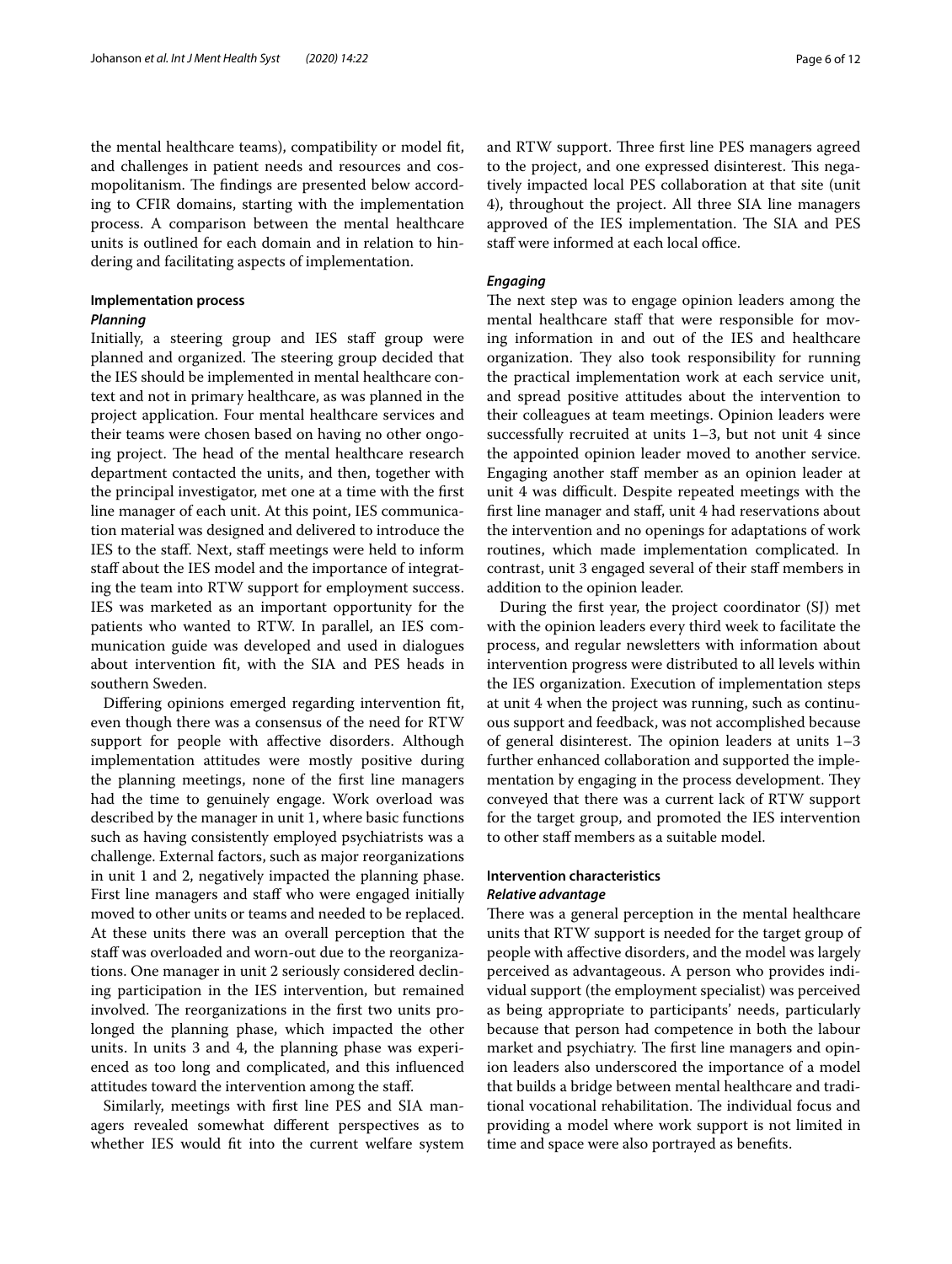the mental healthcare teams), compatibility or model ft, and challenges in patient needs and resources and cosmopolitanism. The findings are presented below according to CFIR domains, starting with the implementation process. A comparison between the mental healthcare units is outlined for each domain and in relation to hindering and facilitating aspects of implementation.

#### **Implementation process**

# *Planning*

Initially, a steering group and IES staff group were planned and organized. The steering group decided that the IES should be implemented in mental healthcare context and not in primary healthcare, as was planned in the project application. Four mental healthcare services and their teams were chosen based on having no other ongoing project. The head of the mental healthcare research department contacted the units, and then, together with the principal investigator, met one at a time with the frst line manager of each unit. At this point, IES communication material was designed and delivered to introduce the IES to the staf. Next, staf meetings were held to inform staff about the IES model and the importance of integrating the team into RTW support for employment success. IES was marketed as an important opportunity for the patients who wanted to RTW. In parallel, an IES communication guide was developed and used in dialogues about intervention ft, with the SIA and PES heads in southern Sweden.

Difering opinions emerged regarding intervention ft, even though there was a consensus of the need for RTW support for people with affective disorders. Although implementation attitudes were mostly positive during the planning meetings, none of the frst line managers had the time to genuinely engage. Work overload was described by the manager in unit 1, where basic functions such as having consistently employed psychiatrists was a challenge. External factors, such as major reorganizations in unit 1 and 2, negatively impacted the planning phase. First line managers and staff who were engaged initially moved to other units or teams and needed to be replaced. At these units there was an overall perception that the staff was overloaded and worn-out due to the reorganizations. One manager in unit 2 seriously considered declining participation in the IES intervention, but remained involved. The reorganizations in the first two units prolonged the planning phase, which impacted the other units. In units 3 and 4, the planning phase was experienced as too long and complicated, and this infuenced attitudes toward the intervention among the staf.

Similarly, meetings with frst line PES and SIA managers revealed somewhat diferent perspectives as to whether IES would fit into the current welfare system and RTW support. Three first line PES managers agreed to the project, and one expressed disinterest. This negatively impacted local PES collaboration at that site (unit 4), throughout the project. All three SIA line managers approved of the IES implementation. The SIA and PES staff were informed at each local office.

# *Engaging*

The next step was to engage opinion leaders among the mental healthcare staff that were responsible for moving information in and out of the IES and healthcare organization. They also took responsibility for running the practical implementation work at each service unit, and spread positive attitudes about the intervention to their colleagues at team meetings. Opinion leaders were successfully recruited at units 1–3, but not unit 4 since the appointed opinion leader moved to another service. Engaging another staf member as an opinion leader at unit 4 was difficult. Despite repeated meetings with the frst line manager and staf, unit 4 had reservations about the intervention and no openings for adaptations of work routines, which made implementation complicated. In contrast, unit 3 engaged several of their staff members in addition to the opinion leader.

During the frst year, the project coordinator (SJ) met with the opinion leaders every third week to facilitate the process, and regular newsletters with information about intervention progress were distributed to all levels within the IES organization. Execution of implementation steps at unit 4 when the project was running, such as continuous support and feedback, was not accomplished because of general disinterest. The opinion leaders at units  $1-3$ further enhanced collaboration and supported the implementation by engaging in the process development. They conveyed that there was a current lack of RTW support for the target group, and promoted the IES intervention to other staf members as a suitable model.

# **Intervention characteristics**

# *Relative advantage*

There was a general perception in the mental healthcare units that RTW support is needed for the target group of people with afective disorders, and the model was largely perceived as advantageous. A person who provides individual support (the employment specialist) was perceived as being appropriate to participants' needs, particularly because that person had competence in both the labour market and psychiatry. The first line managers and opinion leaders also underscored the importance of a model that builds a bridge between mental healthcare and traditional vocational rehabilitation. The individual focus and providing a model where work support is not limited in time and space were also portrayed as benefts.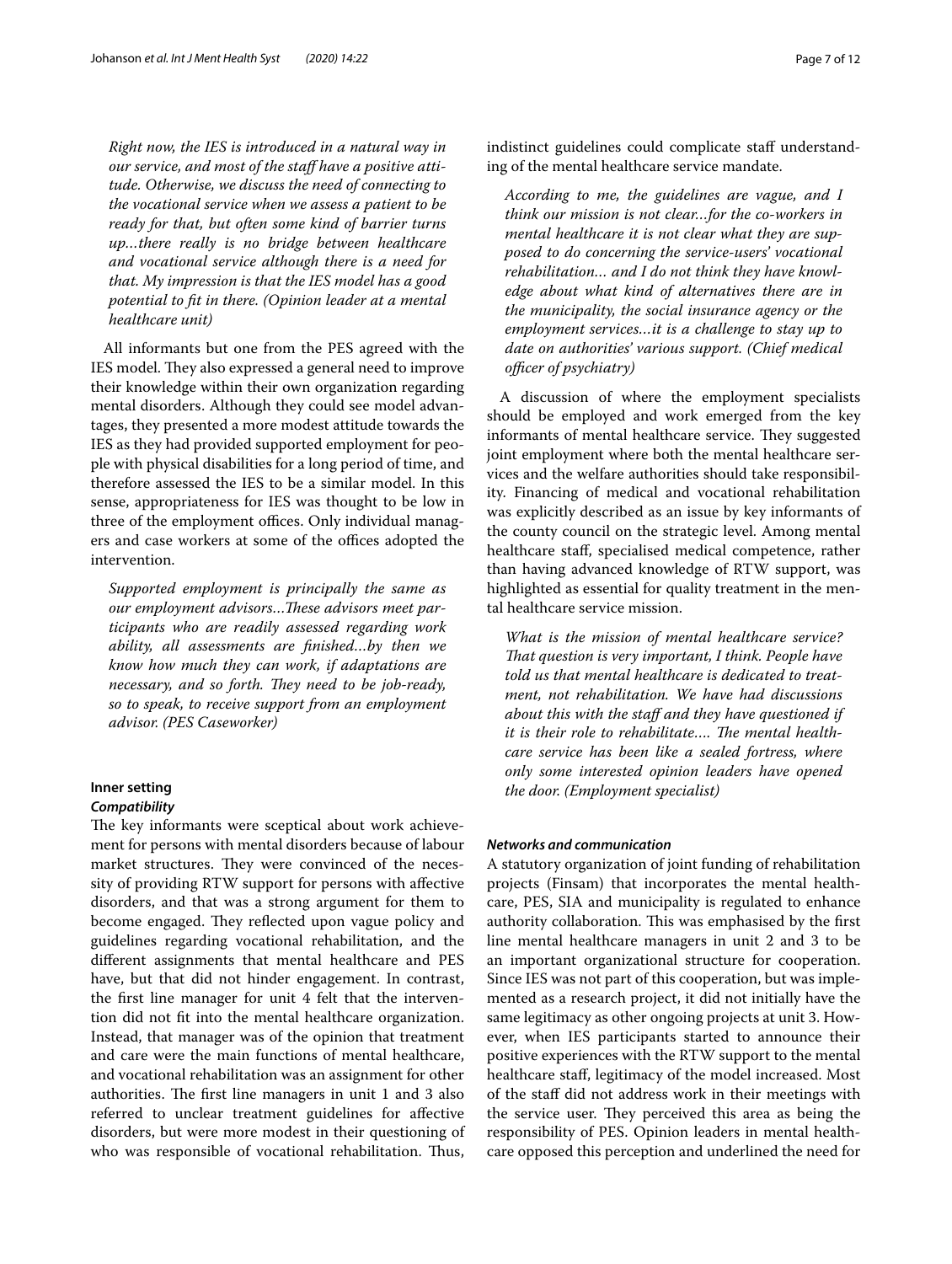*Right now, the IES is introduced in a natural way in our service, and most of the staf have a positive attitude. Otherwise, we discuss the need of connecting to the vocational service when we assess a patient to be ready for that, but often some kind of barrier turns up…there really is no bridge between healthcare and vocational service although there is a need for that. My impression is that the IES model has a good potential to ft in there. (Opinion leader at a mental healthcare unit)*

All informants but one from the PES agreed with the IES model. They also expressed a general need to improve their knowledge within their own organization regarding mental disorders. Although they could see model advantages, they presented a more modest attitude towards the IES as they had provided supported employment for people with physical disabilities for a long period of time, and therefore assessed the IES to be a similar model. In this sense, appropriateness for IES was thought to be low in three of the employment offices. Only individual managers and case workers at some of the offices adopted the intervention.

*Supported employment is principally the same as*  our employment advisors...These advisors meet par*ticipants who are readily assessed regarding work ability, all assessments are fnished…by then we know how much they can work, if adaptations are necessary, and so forth. They need to be job-ready, so to speak, to receive support from an employment advisor. (PES Caseworker)*

# **Inner setting** *Compatibility*

The key informants were sceptical about work achievement for persons with mental disorders because of labour market structures. They were convinced of the necessity of providing RTW support for persons with afective disorders, and that was a strong argument for them to become engaged. They reflected upon vague policy and guidelines regarding vocational rehabilitation, and the diferent assignments that mental healthcare and PES have, but that did not hinder engagement. In contrast, the frst line manager for unit 4 felt that the intervention did not ft into the mental healthcare organization. Instead, that manager was of the opinion that treatment and care were the main functions of mental healthcare, and vocational rehabilitation was an assignment for other authorities. The first line managers in unit 1 and 3 also referred to unclear treatment guidelines for afective disorders, but were more modest in their questioning of who was responsible of vocational rehabilitation. Thus, indistinct guidelines could complicate staff understanding of the mental healthcare service mandate.

*According to me, the guidelines are vague, and I think our mission is not clear…for the co-workers in mental healthcare it is not clear what they are supposed to do concerning the service-users' vocational rehabilitation… and I do not think they have knowledge about what kind of alternatives there are in the municipality, the social insurance agency or the employment services…it is a challenge to stay up to date on authorities' various support. (Chief medical officer of psychiatry*)

A discussion of where the employment specialists should be employed and work emerged from the key informants of mental healthcare service. They suggested joint employment where both the mental healthcare services and the welfare authorities should take responsibility. Financing of medical and vocational rehabilitation was explicitly described as an issue by key informants of the county council on the strategic level. Among mental healthcare staf, specialised medical competence, rather than having advanced knowledge of RTW support, was highlighted as essential for quality treatment in the mental healthcare service mission.

*What is the mission of mental healthcare service? Tat question is very important, I think. People have told us that mental healthcare is dedicated to treatment, not rehabilitation. We have had discussions about this with the staf and they have questioned if*  it is their role to rehabilitate.... The mental health*care service has been like a sealed fortress, where only some interested opinion leaders have opened the door. (Employment specialist)*

# *Networks and communication*

A statutory organization of joint funding of rehabilitation projects (Finsam) that incorporates the mental healthcare, PES, SIA and municipality is regulated to enhance authority collaboration. This was emphasised by the first line mental healthcare managers in unit 2 and 3 to be an important organizational structure for cooperation. Since IES was not part of this cooperation, but was implemented as a research project, it did not initially have the same legitimacy as other ongoing projects at unit 3. However, when IES participants started to announce their positive experiences with the RTW support to the mental healthcare staf, legitimacy of the model increased. Most of the staf did not address work in their meetings with the service user. They perceived this area as being the responsibility of PES. Opinion leaders in mental healthcare opposed this perception and underlined the need for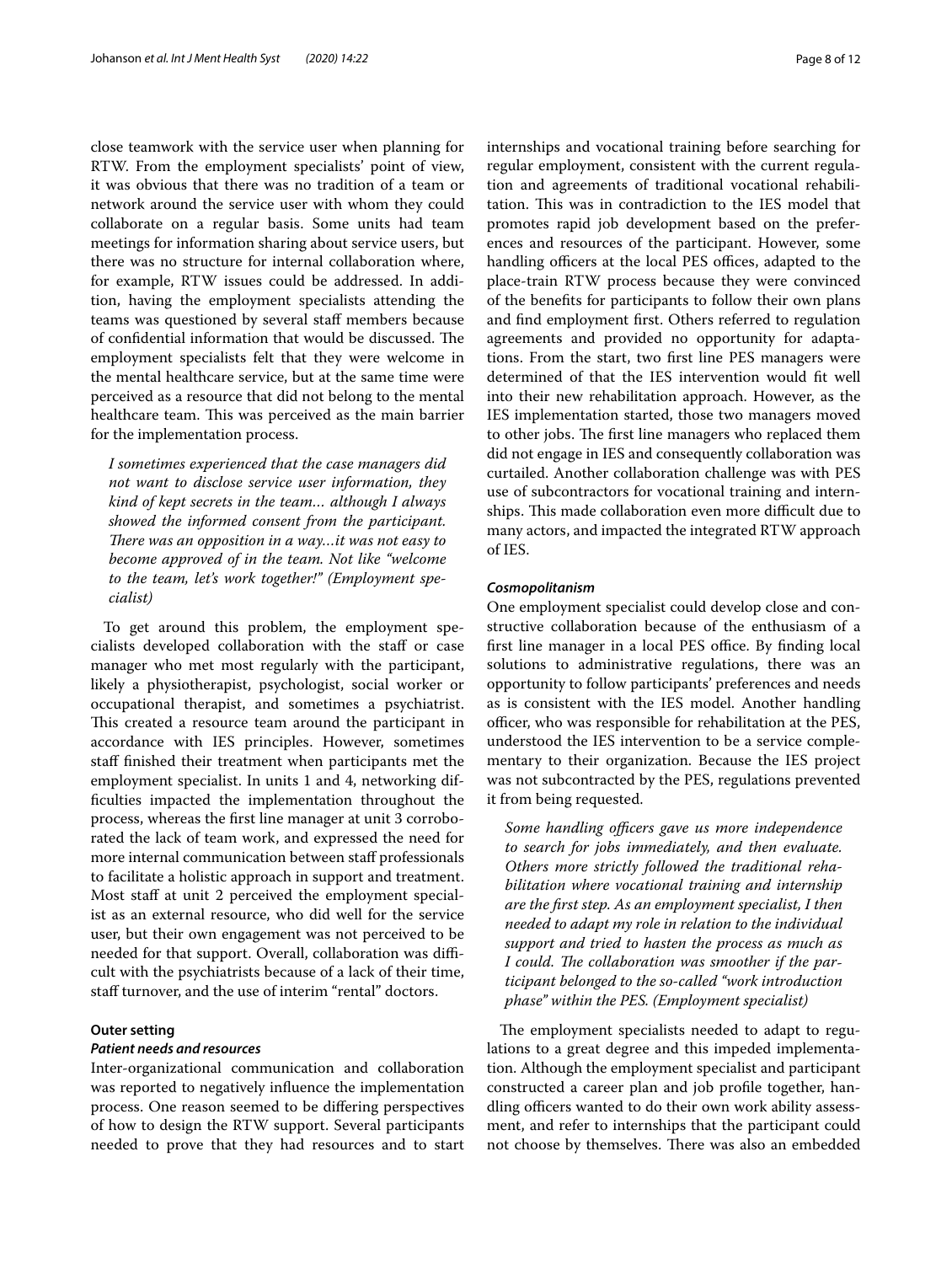close teamwork with the service user when planning for RTW. From the employment specialists' point of view, it was obvious that there was no tradition of a team or network around the service user with whom they could collaborate on a regular basis. Some units had team meetings for information sharing about service users, but there was no structure for internal collaboration where, for example, RTW issues could be addressed. In addition, having the employment specialists attending the teams was questioned by several staff members because of confidential information that would be discussed. The employment specialists felt that they were welcome in the mental healthcare service, but at the same time were perceived as a resource that did not belong to the mental healthcare team. This was perceived as the main barrier for the implementation process.

*I sometimes experienced that the case managers did not want to disclose service user information, they kind of kept secrets in the team… although I always showed the informed consent from the participant. There was an opposition in a way...it was not easy to become approved of in the team. Not like "welcome to the team, let's work together!" (Employment specialist)*

To get around this problem, the employment specialists developed collaboration with the staf or case manager who met most regularly with the participant, likely a physiotherapist, psychologist, social worker or occupational therapist, and sometimes a psychiatrist. This created a resource team around the participant in accordance with IES principles. However, sometimes staf fnished their treatment when participants met the employment specialist. In units 1 and 4, networking diffculties impacted the implementation throughout the process, whereas the frst line manager at unit 3 corroborated the lack of team work, and expressed the need for more internal communication between staff professionals to facilitate a holistic approach in support and treatment. Most staff at unit 2 perceived the employment specialist as an external resource, who did well for the service user, but their own engagement was not perceived to be needed for that support. Overall, collaboration was difficult with the psychiatrists because of a lack of their time, staff turnover, and the use of interim "rental" doctors.

# **Outer setting**

# *Patient needs and resources*

Inter-organizational communication and collaboration was reported to negatively infuence the implementation process. One reason seemed to be difering perspectives of how to design the RTW support. Several participants needed to prove that they had resources and to start internships and vocational training before searching for regular employment, consistent with the current regulation and agreements of traditional vocational rehabilitation. This was in contradiction to the IES model that promotes rapid job development based on the preferences and resources of the participant. However, some handling officers at the local PES offices, adapted to the place-train RTW process because they were convinced of the benefts for participants to follow their own plans and fnd employment frst. Others referred to regulation agreements and provided no opportunity for adaptations. From the start, two frst line PES managers were determined of that the IES intervention would ft well into their new rehabilitation approach. However, as the IES implementation started, those two managers moved to other jobs. The first line managers who replaced them did not engage in IES and consequently collaboration was curtailed. Another collaboration challenge was with PES use of subcontractors for vocational training and internships. This made collaboration even more difficult due to many actors, and impacted the integrated RTW approach of IES.

# *Cosmopolitanism*

One employment specialist could develop close and constructive collaboration because of the enthusiasm of a first line manager in a local PES office. By finding local solutions to administrative regulations, there was an opportunity to follow participants' preferences and needs as is consistent with the IES model. Another handling officer, who was responsible for rehabilitation at the PES, understood the IES intervention to be a service complementary to their organization. Because the IES project was not subcontracted by the PES, regulations prevented it from being requested.

Some handling officers gave us more independence *to search for jobs immediately, and then evaluate. Others more strictly followed the traditional rehabilitation where vocational training and internship are the frst step. As an employment specialist, I then needed to adapt my role in relation to the individual support and tried to hasten the process as much as*  I could. The collaboration was smoother if the par*ticipant belonged to the so-called "work introduction phase" within the PES. (Employment specialist)*

The employment specialists needed to adapt to regulations to a great degree and this impeded implementation. Although the employment specialist and participant constructed a career plan and job profle together, handling officers wanted to do their own work ability assessment, and refer to internships that the participant could not choose by themselves. There was also an embedded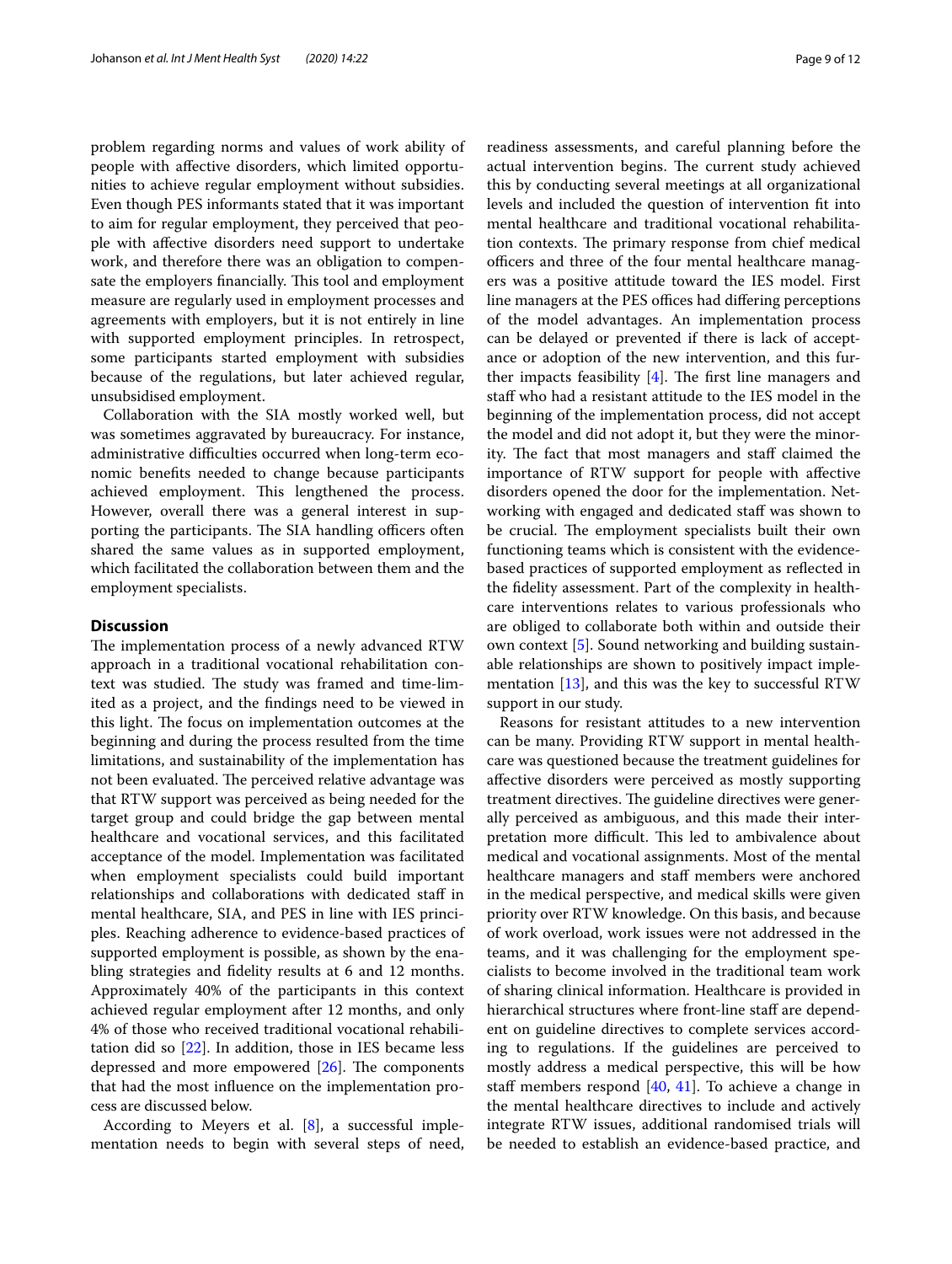problem regarding norms and values of work ability of people with afective disorders, which limited opportunities to achieve regular employment without subsidies. Even though PES informants stated that it was important to aim for regular employment, they perceived that people with afective disorders need support to undertake work, and therefore there was an obligation to compensate the employers financially. This tool and employment measure are regularly used in employment processes and agreements with employers, but it is not entirely in line with supported employment principles. In retrospect, some participants started employment with subsidies because of the regulations, but later achieved regular, unsubsidised employment.

Collaboration with the SIA mostly worked well, but was sometimes aggravated by bureaucracy. For instance, administrative difficulties occurred when long-term economic benefts needed to change because participants achieved employment. This lengthened the process. However, overall there was a general interest in supporting the participants. The SIA handling officers often shared the same values as in supported employment, which facilitated the collaboration between them and the employment specialists.

# **Discussion**

The implementation process of a newly advanced RTW approach in a traditional vocational rehabilitation context was studied. The study was framed and time-limited as a project, and the fndings need to be viewed in this light. The focus on implementation outcomes at the beginning and during the process resulted from the time limitations, and sustainability of the implementation has not been evaluated. The perceived relative advantage was that RTW support was perceived as being needed for the target group and could bridge the gap between mental healthcare and vocational services, and this facilitated acceptance of the model. Implementation was facilitated when employment specialists could build important relationships and collaborations with dedicated staf in mental healthcare, SIA, and PES in line with IES principles. Reaching adherence to evidence-based practices of supported employment is possible, as shown by the enabling strategies and fdelity results at 6 and 12 months. Approximately 40% of the participants in this context achieved regular employment after 12 months, and only 4% of those who received traditional vocational rehabilitation did so [\[22](#page-10-16)]. In addition, those in IES became less depressed and more empowered  $[26]$  $[26]$ . The components that had the most infuence on the implementation process are discussed below.

According to Meyers et al. [\[8](#page-10-25)], a successful implementation needs to begin with several steps of need, readiness assessments, and careful planning before the actual intervention begins. The current study achieved this by conducting several meetings at all organizational levels and included the question of intervention ft into mental healthcare and traditional vocational rehabilitation contexts. The primary response from chief medical officers and three of the four mental healthcare managers was a positive attitude toward the IES model. First line managers at the PES offices had differing perceptions of the model advantages. An implementation process can be delayed or prevented if there is lack of acceptance or adoption of the new intervention, and this further impacts feasibility  $[4]$  $[4]$ . The first line managers and staf who had a resistant attitude to the IES model in the beginning of the implementation process, did not accept the model and did not adopt it, but they were the minority. The fact that most managers and staff claimed the importance of RTW support for people with afective disorders opened the door for the implementation. Networking with engaged and dedicated staff was shown to be crucial. The employment specialists built their own functioning teams which is consistent with the evidencebased practices of supported employment as refected in the fdelity assessment. Part of the complexity in healthcare interventions relates to various professionals who are obliged to collaborate both within and outside their own context [\[5\]](#page-10-4). Sound networking and building sustainable relationships are shown to positively impact implementation  $[13]$  $[13]$ , and this was the key to successful RTW support in our study.

Reasons for resistant attitudes to a new intervention can be many. Providing RTW support in mental healthcare was questioned because the treatment guidelines for afective disorders were perceived as mostly supporting treatment directives. The guideline directives were generally perceived as ambiguous, and this made their interpretation more difficult. This led to ambivalence about medical and vocational assignments. Most of the mental healthcare managers and staff members were anchored in the medical perspective, and medical skills were given priority over RTW knowledge. On this basis, and because of work overload, work issues were not addressed in the teams, and it was challenging for the employment specialists to become involved in the traditional team work of sharing clinical information. Healthcare is provided in hierarchical structures where front-line staff are dependent on guideline directives to complete services according to regulations. If the guidelines are perceived to mostly address a medical perspective, this will be how staff members respond  $[40, 41]$  $[40, 41]$  $[40, 41]$ . To achieve a change in the mental healthcare directives to include and actively integrate RTW issues, additional randomised trials will be needed to establish an evidence-based practice, and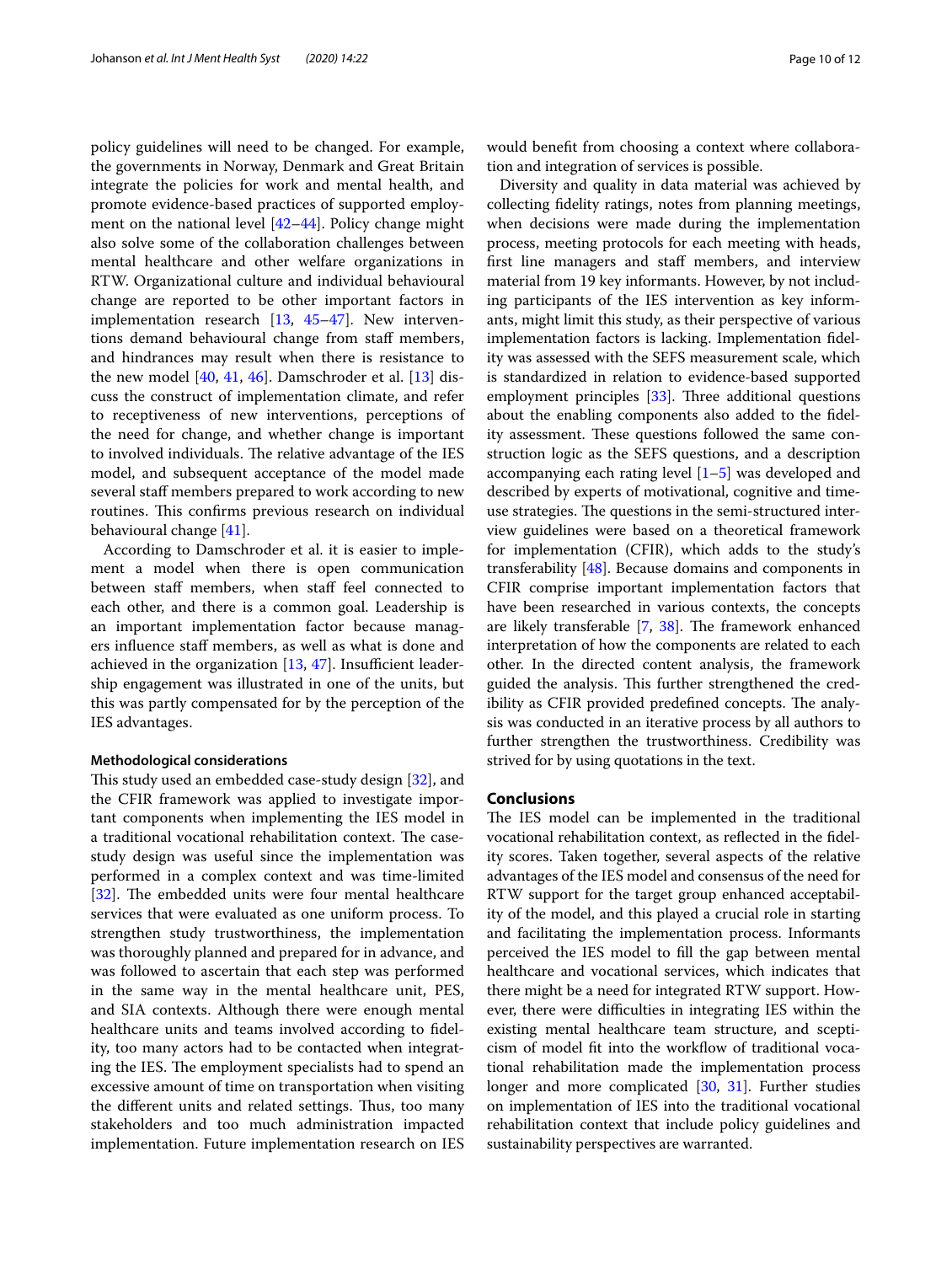policy guidelines will need to be changed. For example, the governments in Norway, Denmark and Great Britain integrate the policies for work and mental health, and promote evidence-based practices of supported employment on the national level [\[42](#page-11-12)[–44\]](#page-11-13). Policy change might also solve some of the collaboration challenges between mental healthcare and other welfare organizations in RTW. Organizational culture and individual behavioural change are reported to be other important factors in implementation research [\[13,](#page-10-10) [45](#page-11-14)[–47\]](#page-11-15). New interventions demand behavioural change from staff members, and hindrances may result when there is resistance to the new model  $[40, 41, 46]$  $[40, 41, 46]$  $[40, 41, 46]$  $[40, 41, 46]$  $[40, 41, 46]$  $[40, 41, 46]$  $[40, 41, 46]$ . Damschroder et al.  $[13]$  $[13]$  discuss the construct of implementation climate, and refer to receptiveness of new interventions, perceptions of the need for change, and whether change is important to involved individuals. The relative advantage of the IES model, and subsequent acceptance of the model made several staff members prepared to work according to new routines. This confirms previous research on individual behavioural change [\[41](#page-11-11)].

According to Damschroder et al. it is easier to implement a model when there is open communication between staff members, when staff feel connected to each other, and there is a common goal. Leadership is an important implementation factor because managers influence staff members, as well as what is done and achieved in the organization  $[13, 47]$  $[13, 47]$  $[13, 47]$ . Insufficient leadership engagement was illustrated in one of the units, but this was partly compensated for by the perception of the IES advantages.

# **Methodological considerations**

This study used an embedded case-study design [[32\]](#page-11-2), and the CFIR framework was applied to investigate important components when implementing the IES model in a traditional vocational rehabilitation context. The casestudy design was useful since the implementation was performed in a complex context and was time-limited [[32\]](#page-11-2). The embedded units were four mental healthcare services that were evaluated as one uniform process. To strengthen study trustworthiness, the implementation was thoroughly planned and prepared for in advance, and was followed to ascertain that each step was performed in the same way in the mental healthcare unit, PES, and SIA contexts. Although there were enough mental healthcare units and teams involved according to fdelity, too many actors had to be contacted when integrating the IES. The employment specialists had to spend an excessive amount of time on transportation when visiting the different units and related settings. Thus, too many stakeholders and too much administration impacted implementation. Future implementation research on IES would beneft from choosing a context where collaboration and integration of services is possible.

Diversity and quality in data material was achieved by collecting fdelity ratings, notes from planning meetings, when decisions were made during the implementation process, meeting protocols for each meeting with heads, frst line managers and staf members, and interview material from 19 key informants. However, by not including participants of the IES intervention as key informants, might limit this study, as their perspective of various implementation factors is lacking. Implementation fdelity was assessed with the SEFS measurement scale, which is standardized in relation to evidence-based supported employment principles [[33](#page-11-3)]. Three additional questions about the enabling components also added to the fdelity assessment. These questions followed the same construction logic as the SEFS questions, and a description accompanying each rating level  $[1–5]$  $[1–5]$  was developed and described by experts of motivational, cognitive and timeuse strategies. The questions in the semi-structured interview guidelines were based on a theoretical framework for implementation (CFIR), which adds to the study's transferability [\[48\]](#page-11-17). Because domains and components in CFIR comprise important implementation factors that have been researched in various contexts, the concepts are likely transferable  $[7, 38]$  $[7, 38]$  $[7, 38]$  $[7, 38]$ . The framework enhanced interpretation of how the components are related to each other. In the directed content analysis, the framework guided the analysis. This further strengthened the credibility as CFIR provided predefined concepts. The analysis was conducted in an iterative process by all authors to further strengthen the trustworthiness. Credibility was strived for by using quotations in the text.

#### **Conclusions**

The IES model can be implemented in the traditional vocational rehabilitation context, as refected in the fdelity scores. Taken together, several aspects of the relative advantages of the IES model and consensus of the need for RTW support for the target group enhanced acceptability of the model, and this played a crucial role in starting and facilitating the implementation process. Informants perceived the IES model to fll the gap between mental healthcare and vocational services, which indicates that there might be a need for integrated RTW support. However, there were difficulties in integrating IES within the existing mental healthcare team structure, and scepticism of model ft into the workfow of traditional vocational rehabilitation made the implementation process longer and more complicated [[30](#page-11-0), [31\]](#page-11-1). Further studies on implementation of IES into the traditional vocational rehabilitation context that include policy guidelines and sustainability perspectives are warranted.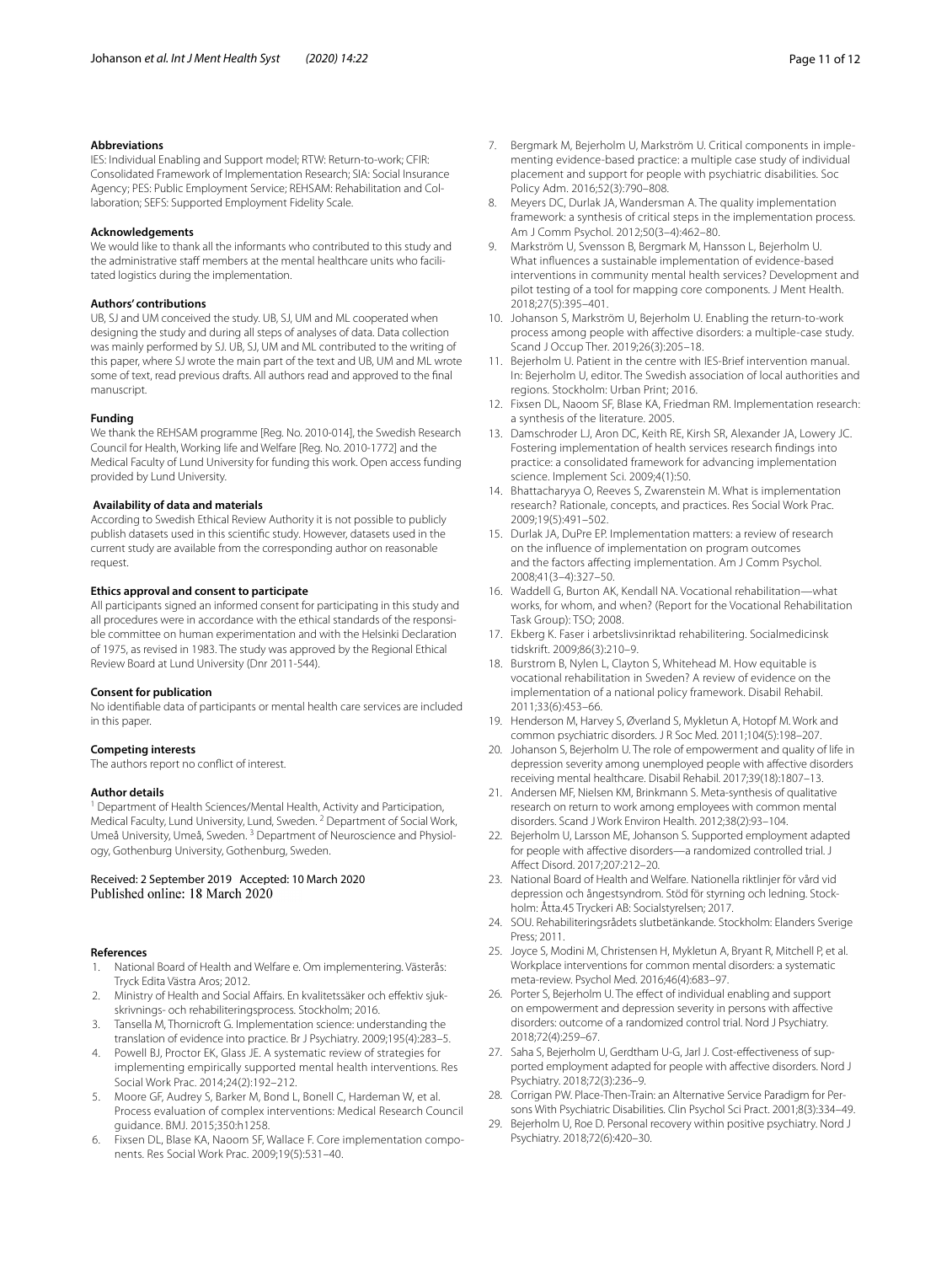# **Abbreviations**

IES: Individual Enabling and Support model; RTW: Return-to-work; CFIR: Consolidated Framework of Implementation Research; SIA: Social Insurance Agency; PES: Public Employment Service; REHSAM: Rehabilitation and Collaboration; SEFS: Supported Employment Fidelity Scale.

#### **Acknowledgements**

We would like to thank all the informants who contributed to this study and the administrative staff members at the mental healthcare units who facilitated logistics during the implementation.

# **Authors' contributions**

UB, SJ and UM conceived the study. UB, SJ, UM and ML cooperated when designing the study and during all steps of analyses of data. Data collection was mainly performed by SJ. UB, SJ, UM and ML contributed to the writing of this paper, where SJ wrote the main part of the text and UB, UM and ML wrote some of text, read previous drafts. All authors read and approved to the fnal manuscript.

# **Funding**

We thank the REHSAM programme [Reg. No. 2010-014], the Swedish Research Council for Health, Working life and Welfare [Reg. No. 2010-1772] and the Medical Faculty of Lund University for funding this work. Open access funding provided by Lund University.

# **Availability of data and materials**

According to Swedish Ethical Review Authority it is not possible to publicly publish datasets used in this scientifc study. However, datasets used in the current study are available from the corresponding author on reasonable request.

#### **Ethics approval and consent to participate**

All participants signed an informed consent for participating in this study and all procedures were in accordance with the ethical standards of the responsible committee on human experimentation and with the Helsinki Declaration of 1975, as revised in 1983. The study was approved by the Regional Ethical Review Board at Lund University (Dnr 2011-544).

#### **Consent for publication**

No identifable data of participants or mental health care services are included in this paper.

#### **Competing interests**

The authors report no confict of interest.

# **Author details**

<sup>1</sup> Department of Health Sciences/Mental Health, Activity and Participation, Medical Faculty, Lund University, Lund, Sweden. <sup>2</sup> Department of Social Work, Umeå University, Umeå, Sweden. 3 Department of Neuroscience and Physiology, Gothenburg University, Gothenburg, Sweden.

# Received: 2 September 2019 Accepted: 10 March 2020

# **References**

- <span id="page-10-0"></span>1. National Board of Health and Welfare e. Om implementering. Västerås: Tryck Edita Västra Aros; 2012.
- <span id="page-10-1"></span>2. Ministry of Health and Social Affairs. En kvalitetssäker och effektiv sjukskrivnings- och rehabiliteringsprocess. Stockholm; 2016.
- <span id="page-10-2"></span>3. Tansella M, Thornicroft G. Implementation science: understanding the translation of evidence into practice. Br J Psychiatry. 2009;195(4):283–5.
- <span id="page-10-3"></span>4. Powell BJ, Proctor EK, Glass JE. A systematic review of strategies for implementing empirically supported mental health interventions. Res Social Work Prac. 2014;24(2):192–212.
- <span id="page-10-4"></span>5. Moore GF, Audrey S, Barker M, Bond L, Bonell C, Hardeman W, et al. Process evaluation of complex interventions: Medical Research Council guidance. BMJ. 2015;350:h1258.
- <span id="page-10-5"></span>6. Fixsen DL, Blase KA, Naoom SF, Wallace F. Core implementation components. Res Social Work Prac. 2009;19(5):531–40.
- <span id="page-10-24"></span>7. Bergmark M, Bejerholm U, Markström U. Critical components in implementing evidence-based practice: a multiple case study of individual placement and support for people with psychiatric disabilities. Soc Policy Adm. 2016;52(3):790–808.
- <span id="page-10-25"></span>8. Meyers DC, Durlak JA, Wandersman A. The quality implementation framework: a synthesis of critical steps in the implementation process. Am J Comm Psychol. 2012;50(3–4):462–80.
- <span id="page-10-6"></span>9. Markström U, Svensson B, Bergmark M, Hansson L, Bejerholm U. What infuences a sustainable implementation of evidence-based interventions in community mental health services? Development and pilot testing of a tool for mapping core components. J Ment Health. 2018;27(5):395–401.
- <span id="page-10-7"></span>10. Johanson S, Markström U, Bejerholm U. Enabling the return-to-work process among people with afective disorders: a multiple-case study. Scand J Occup Ther. 2019;26(3):205–18.
- <span id="page-10-8"></span>11. Bejerholm U. Patient in the centre with IES-Brief intervention manual. In: Bejerholm U, editor. The Swedish association of local authorities and regions. Stockholm: Urban Print; 2016.
- <span id="page-10-9"></span>12. Fixsen DL, Naoom SF, Blase KA, Friedman RM. Implementation research: a synthesis of the literature. 2005.
- <span id="page-10-10"></span>13. Damschroder LJ, Aron DC, Keith RE, Kirsh SR, Alexander JA, Lowery JC. Fostering implementation of health services research fndings into practice: a consolidated framework for advancing implementation science. Implement Sci. 2009;4(1):50.
- 14. Bhattacharyya O, Reeves S, Zwarenstein M. What is implementation research? Rationale, concepts, and practices. Res Social Work Prac. 2009;19(5):491–502.
- <span id="page-10-11"></span>15. Durlak JA, DuPre EP. Implementation matters: a review of research on the infuence of implementation on program outcomes and the factors afecting implementation. Am J Comm Psychol. 2008;41(3–4):327–50.
- <span id="page-10-12"></span>16. Waddell G, Burton AK, Kendall NA. Vocational rehabilitation—what works, for whom, and when? (Report for the Vocational Rehabilitation Task Group): TSO; 2008.
- <span id="page-10-13"></span>17. Ekberg K. Faser i arbetslivsinriktad rehabilitering. Socialmedicinsk tidskrift. 2009;86(3):210–9.
- <span id="page-10-14"></span>18. Burstrom B, Nylen L, Clayton S, Whitehead M. How equitable is vocational rehabilitation in Sweden? A review of evidence on the implementation of a national policy framework. Disabil Rehabil. 2011;33(6):453–66.
- <span id="page-10-15"></span>19. Henderson M, Harvey S, Øverland S, Mykletun A, Hotopf M. Work and common psychiatric disorders. J R Soc Med. 2011;104(5):198–207.
- 20. Johanson S, Bejerholm U. The role of empowerment and quality of life in depression severity among unemployed people with affective disorders receiving mental healthcare. Disabil Rehabil. 2017;39(18):1807–13.
- 21. Andersen MF, Nielsen KM, Brinkmann S. Meta-synthesis of qualitative research on return to work among employees with common mental disorders. Scand J Work Environ Health. 2012;38(2):93–104.
- <span id="page-10-16"></span>22. Bejerholm U, Larsson ME, Johanson S. Supported employment adapted for people with affective disorders-a randomized controlled trial. J Afect Disord. 2017;207:212–20.
- <span id="page-10-17"></span>23. National Board of Health and Welfare. Nationella riktlinjer för vård vid depression och ångestsyndrom. Stöd för styrning och ledning. Stockholm: Åtta.45 Tryckeri AB: Socialstyrelsen; 2017.
- <span id="page-10-18"></span>24. SOU. Rehabiliteringsrådets slutbetänkande. Stockholm: Elanders Sverige Press; 2011.
- <span id="page-10-19"></span>25. Joyce S, Modini M, Christensen H, Mykletun A, Bryant R, Mitchell P, et al. Workplace interventions for common mental disorders: a systematic meta-review. Psychol Med. 2016;46(4):683–97.
- <span id="page-10-20"></span>26. Porter S, Bejerholm U. The effect of individual enabling and support on empowerment and depression severity in persons with afective disorders: outcome of a randomized control trial. Nord J Psychiatry. 2018;72(4):259–67.
- <span id="page-10-21"></span>27. Saha S, Bejerholm U, Gerdtham U-G, Jarl J. Cost-efectiveness of supported employment adapted for people with afective disorders. Nord J Psychiatry. 2018;72(3):236–9.
- <span id="page-10-22"></span>28. Corrigan PW. Place-Then-Train: an Alternative Service Paradigm for Persons With Psychiatric Disabilities. Clin Psychol Sci Pract. 2001;8(3):334–49.
- <span id="page-10-23"></span>29. Bejerholm U, Roe D. Personal recovery within positive psychiatry. Nord J Psychiatry. 2018;72(6):420–30.